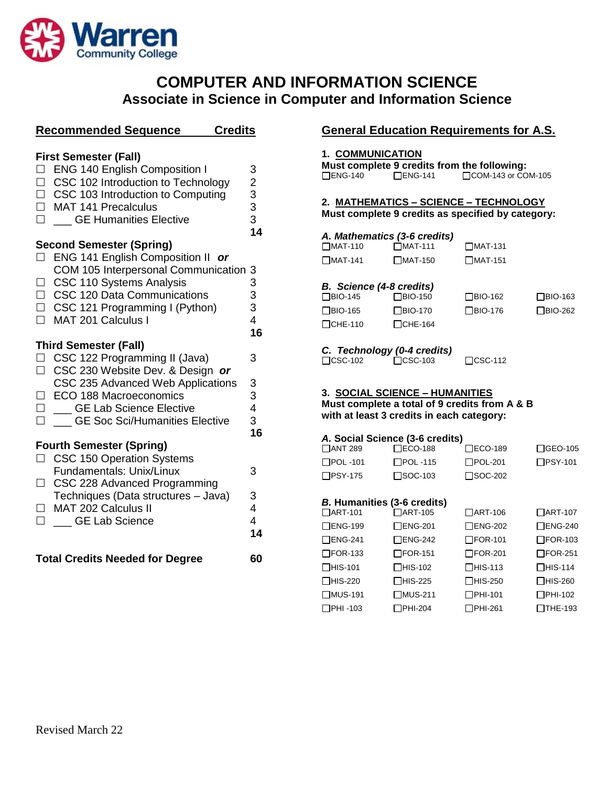

# **COMPUTER AND INFORMATION SCIENCE Associate in Science in Computer and Information Science**

| <b>Recommended Sequence</b><br><b>Credits</b>                                                                                                                                                                                                                                         |                                                         |
|---------------------------------------------------------------------------------------------------------------------------------------------------------------------------------------------------------------------------------------------------------------------------------------|---------------------------------------------------------|
| <b>First Semester (Fall)</b><br><b>ENG 140 English Composition I</b><br>CSC 102 Introduction to Technology<br>$\Box$<br>□ CSC 103 Introduction to Computing<br>MAT 141 Precalculus<br>$\Box$<br><b>GE Humanities Elective</b>                                                         | 3<br>$\begin{array}{c}\n2 \\ 3 \\ 3 \\ 14\n\end{array}$ |
| <b>Second Semester (Spring)</b><br>ENG 141 English Composition II or<br>$\Box$<br>COM 105 Interpersonal Communication 3<br>$\Box$ CSC 110 Systems Analysis<br>□ CSC 120 Data Communications<br>$\Box$ CSC 121 Programming I (Python)<br>MAT 201 Calculus I                            | 3<br>3<br>3<br>4<br>16                                  |
| <b>Third Semester (Fall)</b><br>CSC 122 Programming II (Java)<br>$\Box$<br>CSC 230 Website Dev. & Design or<br>$\Box$<br>CSC 235 Advanced Web Applications<br>□ ECO 188 Macroeconomics<br>$\Box$<br><b>GE Lab Science Elective</b><br><b>CE Soc Sci/Humanities Elective</b><br>$\Box$ | 3<br>3<br>3<br>4<br>3<br>16                             |
| <b>Fourth Semester (Spring)</b><br>□ CSC 150 Operation Systems<br>Fundamentals: Unix/Linux<br>CSC 228 Advanced Programming<br>П<br>Techniques (Data structures - Java)<br>MAT 202 Calculus II<br>___ GE Lab Science                                                                   | 3<br>3<br>4<br>4<br>14                                  |
| <b>Total Credits Needed for Degree</b>                                                                                                                                                                                                                                                | 60                                                      |

## **General Education Requirements for A.S.**

#### **1. COMMUNICATION**

**Must complete 9 credits from the following:**<br>□ENG-140 □ENG-141 □COM-143 or CO  $\Box$ COM-143 or COM-105

## **2. MATHEMATICS – SCIENCE – TECHNOLOGY**

**Must complete 9 credits as specified by category:**

#### *A. Mathematics (3-6 credits)*

| $\Box$ MAT-110 | $\Box$ MAT-111 | $\Box$ MAT-131 |
|----------------|----------------|----------------|
| $\Box$ MAT-141 | $\Box$ MAT-150 | $\Box$ MAT-151 |

| <b>B.</b> Science (4-8 credits) |                |                |                |
|---------------------------------|----------------|----------------|----------------|
| $\Box$ BIO-145                  | $\Box$ BIO-150 | $\Box$ BIO-162 | $\Box$ BIO-163 |
| □BIO-165                        | $\Box$ BIO-170 | $\Box$ BIO-176 | $\Box$ BIO-262 |
| $\Box$ CHE-110                  | $\Box$ CHE-164 |                |                |

### *C. Technology (0-4 credits)*

CSC-102 CSC-103 CSC-112

### **3. SOCIAL SCIENCE – HUMANITIES**

**Must complete a total of 9 credits from A & B with at least 3 credits in each category:**

#### *A.* **Social Science (3-6 credits)**

| <b>ANT 289</b>                     | $\square$ ECO-188 | □ECO-189       | □GEO-105       |
|------------------------------------|-------------------|----------------|----------------|
| $\Box$ POL -101                    | $\Box$ POL -115   | $\Box$ POL-201 | □PSY-101       |
| <b>NPSY-175</b>                    | □SOC-103          | ⊟SOC-202       |                |
|                                    |                   |                |                |
| <b>B. Humanities (3-6 credits)</b> |                   |                |                |
| □ART-101                           | □ART-105          | □ART-106       | □ART-107       |
| $\Box$ ENG-199                     | $\Box$ ENG-201    | $\Box$ ENG-202 | $\Box$ ENG-240 |
| $\Box$ ENG-241                     | $\Box$ ENG-242    | $\Box$ FOR-101 | $\Box$ FOR-103 |
| $\Box$ FOR-133                     | $\Box$ FOR-151    | $\Box$ FOR-201 | $\Box$ FOR-251 |
| $\Box$ HIS-101                     | $\Box$ HIS-102    | $\Box$ HIS-113 | $\Box$ HIS-114 |
| □HIS-220                           | $\Box$ HIS-225    | $\Box$ HIS-250 | $\Box$ HIS-260 |
| <b>NUS-191</b>                     | $\Box$ MUS-211    | □PHI-101       | $\Box$ PHI-102 |
| □PHI -103                          | 1PHI-204          | ヿPHI-261       | TTHE-193       |
|                                    |                   |                |                |